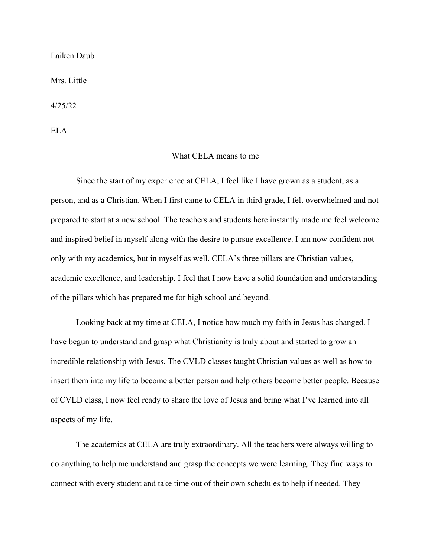Laiken Daub

Mrs. Little

4/25/22

ELA

## What CELA means to me

 Since the start of my experience at CELA, I feel like I have grown as a student, as a person, and as a Christian. When I first came to CELA in third grade, I felt overwhelmed and not prepared to start at a new school. The teachers and students here instantly made me feel welcome and inspired belief in myself along with the desire to pursue excellence. I am now confident not only with my academics, but in myself as well. CELA's three pillars are Christian values, academic excellence, and leadership. I feel that I now have a solid foundation and understanding of the pillars which has prepared me for high school and beyond.

 Looking back at my time at CELA, I notice how much my faith in Jesus has changed. I have begun to understand and grasp what Christianity is truly about and started to grow an incredible relationship with Jesus. The CVLD classes taught Christian values as well as how to insert them into my life to become a better person and help others become better people. Because of CVLD class, I now feel ready to share the love of Jesus and bring what I've learned into all aspects of my life.

 The academics at CELA are truly extraordinary. All the teachers were always willing to do anything to help me understand and grasp the concepts we were learning. They find ways to connect with every student and take time out of their own schedules to help if needed. They